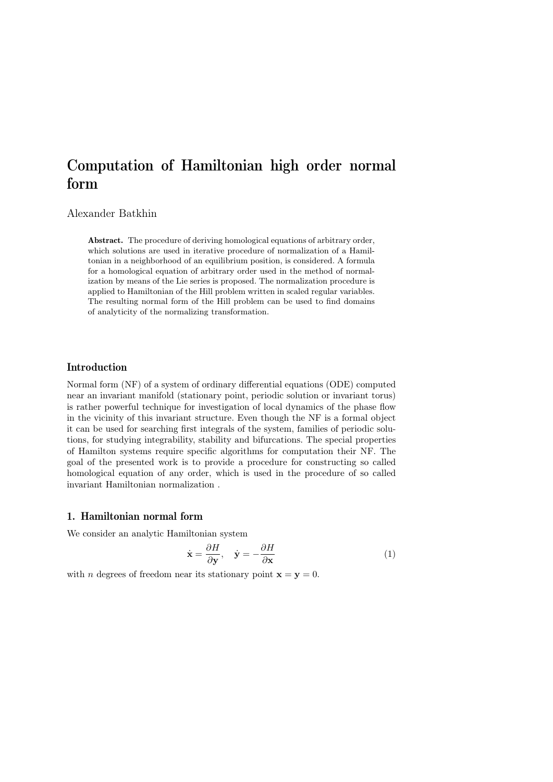# Computation of Hamiltonian high order normal form

# Alexander Batkhin

Abstract. The procedure of deriving homological equations of arbitrary order, which solutions are used in iterative procedure of normalization of a Hamiltonian in a neighborhood of an equilibrium position, is considered. A formula for a homological equation of arbitrary order used in the method of normalization by means of the Lie series is proposed. The normalization procedure is applied to Hamiltonian of the Hill problem written in scaled regular variables. The resulting normal form of the Hill problem can be used to find domains of analyticity of the normalizing transformation.

# Introduction

Normal form (NF) of a system of ordinary differential equations (ODE) computed near an invariant manifold (stationary point, periodic solution or invariant torus) is rather powerful technique for investigation of local dynamics of the phase flow in the vicinity of this invariant structure. Even though the NF is a formal object it can be used for searching first integrals of the system, families of periodic solutions, for studying integrability, stability and bifurcations. The special properties of Hamilton systems require specific algorithms for computation their NF. The goal of the presented work is to provide a procedure for constructing so called homological equation of any order, which is used in the procedure of so called invariant Hamiltonian normalization .

# 1. Hamiltonian normal form

We consider an analytic Hamiltonian system

$$
\dot{\mathbf{x}} = \frac{\partial H}{\partial \mathbf{y}}, \quad \dot{\mathbf{y}} = -\frac{\partial H}{\partial \mathbf{x}} \tag{1}
$$

with *n* degrees of freedom near its stationary point  $\mathbf{x} = \mathbf{y} = 0$ .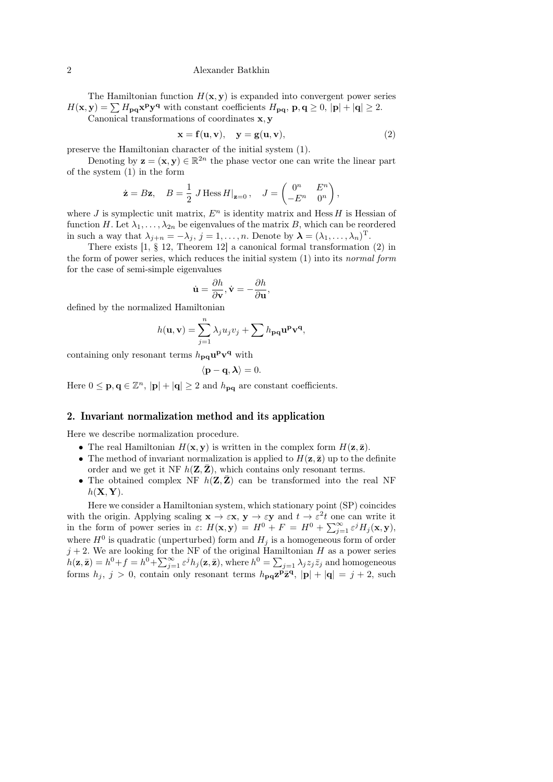#### 2 Alexander Batkhin

The Hamiltonian function  $H(\mathbf{x}, \mathbf{y})$  is expanded into convergent power series  $H(\mathbf{x}, \mathbf{y}) = \sum H_{\mathbf{p}\mathbf{q}} \mathbf{x}^{\mathbf{p}} \mathbf{y}^{\mathbf{q}}$  with constant coefficients  $H_{\mathbf{p}\mathbf{q}}, \mathbf{p}, \mathbf{q} \ge 0, |\mathbf{p}| + |\mathbf{q}| \ge 2$ .

Canonical transformations of coordinates x, y

$$
\mathbf{x} = \mathbf{f}(\mathbf{u}, \mathbf{v}), \quad \mathbf{y} = \mathbf{g}(\mathbf{u}, \mathbf{v}), \tag{2}
$$

preserve the Hamiltonian character of the initial system (1).

Denoting by  $z = (x, y) \in \mathbb{R}^{2n}$  the phase vector one can write the linear part of the system (1) in the form

$$
\dot{\mathbf{z}} = B\mathbf{z}, \quad B = \frac{1}{2} J \operatorname{Hess} H|_{\mathbf{z}=0}, \quad J = \begin{pmatrix} 0^n & E^n \\ -E^n & 0^n \end{pmatrix},
$$

where J is symplectic unit matrix,  $E<sup>n</sup>$  is identity matrix and Hess H is Hessian of function H. Let  $\lambda_1, \ldots, \lambda_{2n}$  be eigenvalues of the matrix B, which can be reordered in such a way that  $\lambda_{j+n} = -\lambda_j$ ,  $j = 1, ..., n$ . Denote by  $\boldsymbol{\lambda} = (\lambda_1, ..., \lambda_n)^T$ .

There exists  $[1, § 12]$ , Theorem 12 a canonical formal transformation  $(2)$  in the form of power series, which reduces the initial system (1) into its normal form for the case of semi-simple eigenvalues

$$
\dot{\mathbf{u}} = \frac{\partial h}{\partial \mathbf{v}}, \dot{\mathbf{v}} = -\frac{\partial h}{\partial \mathbf{u}},
$$

defined by the normalized Hamiltonian

$$
h(\mathbf{u}, \mathbf{v}) = \sum_{j=1}^{n} \lambda_j u_j v_j + \sum h_{\mathbf{p}\mathbf{q}} \mathbf{u}^{\mathbf{p}} \mathbf{v}^{\mathbf{q}},
$$

containing only resonant terms  $h_{\mathbf{p}\mathbf{q}}\mathbf{u}^{\mathbf{p}}\mathbf{v}^{\mathbf{q}}$  with

$$
\langle \mathbf{p}-\mathbf{q},\boldsymbol{\lambda}\rangle=0.
$$

Here  $0 \le \mathbf{p}, \mathbf{q} \in \mathbb{Z}^n$ ,  $|\mathbf{p}| + |\mathbf{q}| \ge 2$  and  $h_{\mathbf{pq}}$  are constant coefficients.

### 2. Invariant normalization method and its application

Here we describe normalization procedure.

- The real Hamiltonian  $H(\mathbf{x}, \mathbf{y})$  is written in the complex form  $H(\mathbf{z}, \bar{\mathbf{z}})$ .
- The method of invariant normalization is applied to  $H(\mathbf{z}, \bar{\mathbf{z}})$  up to the definite order and we get it NF  $h(\mathbf{Z}, \mathbf{Z})$ , which contains only resonant terms.
- The obtained complex NF  $h(\mathbf{Z}, \mathbf{Z})$  can be transformed into the real NF  $h(\mathbf{X}, \mathbf{Y}).$

Here we consider a Hamiltonian system, which stationary point (SP) coincides with the origin. Applying scaling  $\mathbf{x} \to \varepsilon \mathbf{x}$ ,  $\mathbf{y} \to \varepsilon \mathbf{y}$  and  $t \to \varepsilon^2 t$  one can write it in the form of power series in  $\varepsilon$ :  $H(\mathbf{x}, \mathbf{y}) = H^0 + F = H^0 + \sum_{j=1}^{\infty} \varepsilon^j H_j(\mathbf{x}, \mathbf{y}),$ where  $H^0$  is quadratic (unperturbed) form and  $H_j$  is a homogeneous form of order  $j + 2$ . We are looking for the NF of the original Hamiltonian H as a power series  $h(\mathbf{z}, \bar{\mathbf{z}}) = h^0 + f = h^0 + \sum_{j=1}^{\infty} \varepsilon^j h_j(\mathbf{z}, \bar{\mathbf{z}})$ , where  $h^0 = \sum_{j=1} \lambda_j z_j \bar{z}_j$  and homogeneous forms  $h_j$ ,  $j > 0$ , contain only resonant terms  $h_{pq}z^p\bar{z}^q$ ,  $|{\bf p}| + |{\bf q}| = j + 2$ , such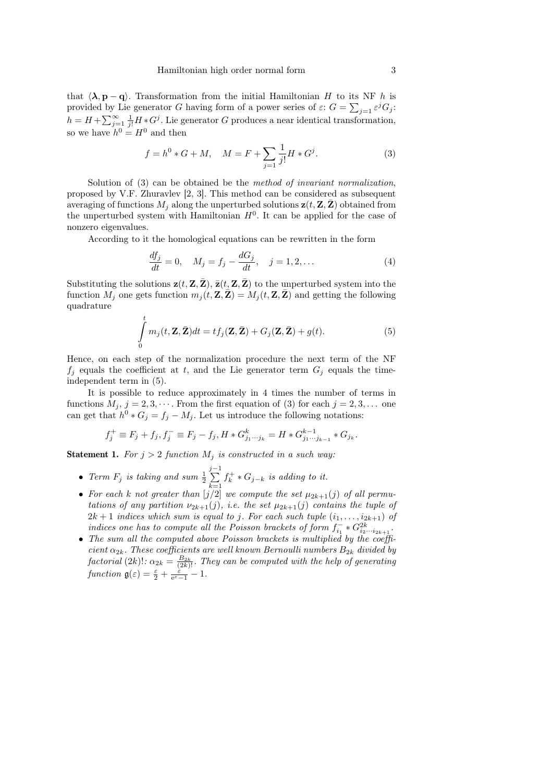that  $\langle \lambda, \mathbf{p} - \mathbf{q} \rangle$ . Transformation from the initial Hamiltonian H to its NF h is provided by Lie generator G having form of a power series of  $\varepsilon$ :  $G = \sum_{j=1} \varepsilon^j G_j$ :  $h = H + \sum_{j=1}^{\infty} \frac{1}{j!} H * G^j$ . Lie generator G produces a near identical transformation, so we have  $h^0 = H^0$  and then

$$
f = h^{0} * G + M, \quad M = F + \sum_{j=1}^{\infty} \frac{1}{j!} H * G^{j}.
$$
 (3)

Solution of (3) can be obtained be the method of invariant normalization, proposed by V.F. Zhuravlev [2, 3]. This method can be considered as subsequent averaging of functions  $M_i$  along the unperturbed solutions  $z(t, Z, \bar{Z})$  obtained from the unperturbed system with Hamiltonian  $H<sup>0</sup>$ . It can be applied for the case of nonzero eigenvalues.

According to it the homological equations can be rewritten in the form

$$
\frac{df_j}{dt} = 0, \quad M_j = f_j - \frac{dG_j}{dt}, \quad j = 1, 2, ... \tag{4}
$$

Substituting the solutions  $z(t, Z, \bar{Z})$ ,  $\bar{z}(t, Z, \bar{Z})$  to the unperturbed system into the function  $M_j$  one gets function  $m_j(t, \mathbf{Z}, \mathbf{Z}) = M_j(t, \mathbf{Z}, \mathbf{Z})$  and getting the following quadrature

$$
\int_{0}^{t} m_j(t, \mathbf{Z}, \bar{\mathbf{Z}}) dt = t f_j(\mathbf{Z}, \bar{\mathbf{Z}}) + G_j(\mathbf{Z}, \bar{\mathbf{Z}}) + g(t).
$$
\n(5)

Hence, on each step of the normalization procedure the next term of the NF  $f_j$  equals the coefficient at t, and the Lie generator term  $G_j$  equals the timeindependent term in (5).

It is possible to reduce approximately in 4 times the number of terms in functions  $M_j$ ,  $j = 2, 3, \cdots$ . From the first equation of (3) for each  $j = 2, 3, \ldots$  one can get that  $h^0 * G_j = f_j - M_j$ . Let us introduce the following notations:

$$
f_j^+ \equiv F_j + f_j, f_j^- \equiv F_j - f_j, H * G_{j_1 \cdots j_k}^k = H * G_{j_1 \cdots j_{k-1}}^{k-1} * G_{j_k}.
$$

**Statement 1.** For  $j > 2$  function  $M_j$  is constructed in a such way:

- Term  $F_j$  is taking and sum  $\frac{1}{2}$  $\sum_{i=1}^{j-1}$  $k=1$  $f_k^+ * G_{j-k}$  is adding to it.
- For each k not greater than  $[j/2]$  we compute the set  $\mu_{2k+1}(j)$  of all permutations of any partition  $\nu_{2k+1}(j)$ , i.e. the set  $\mu_{2k+1}(j)$  contains the tuple of  $2k+1$  indices which sum is equal to j. For each such tuple  $(i_1, \ldots, i_{2k+1})$  of indices one has to compute all the Poisson brackets of form  $f_{i_1}^- * G_{i_2 \cdots i_{2k+1}}^{2k}$ .
- The sum all the computed above Poisson brackets is multiplied by the coefficient  $\alpha_{2k}$ . These coefficients are well known Bernoulli numbers  $B_{2k}$  divided by factorial (2k)!:  $\alpha_{2k} = \frac{B_{2k}}{(2k)!}$ . They can be computed with the help of generating function  $\mathfrak{g}(\varepsilon) = \frac{\varepsilon}{2} + \frac{\varepsilon}{e^{\varepsilon} - 1} - 1$ .